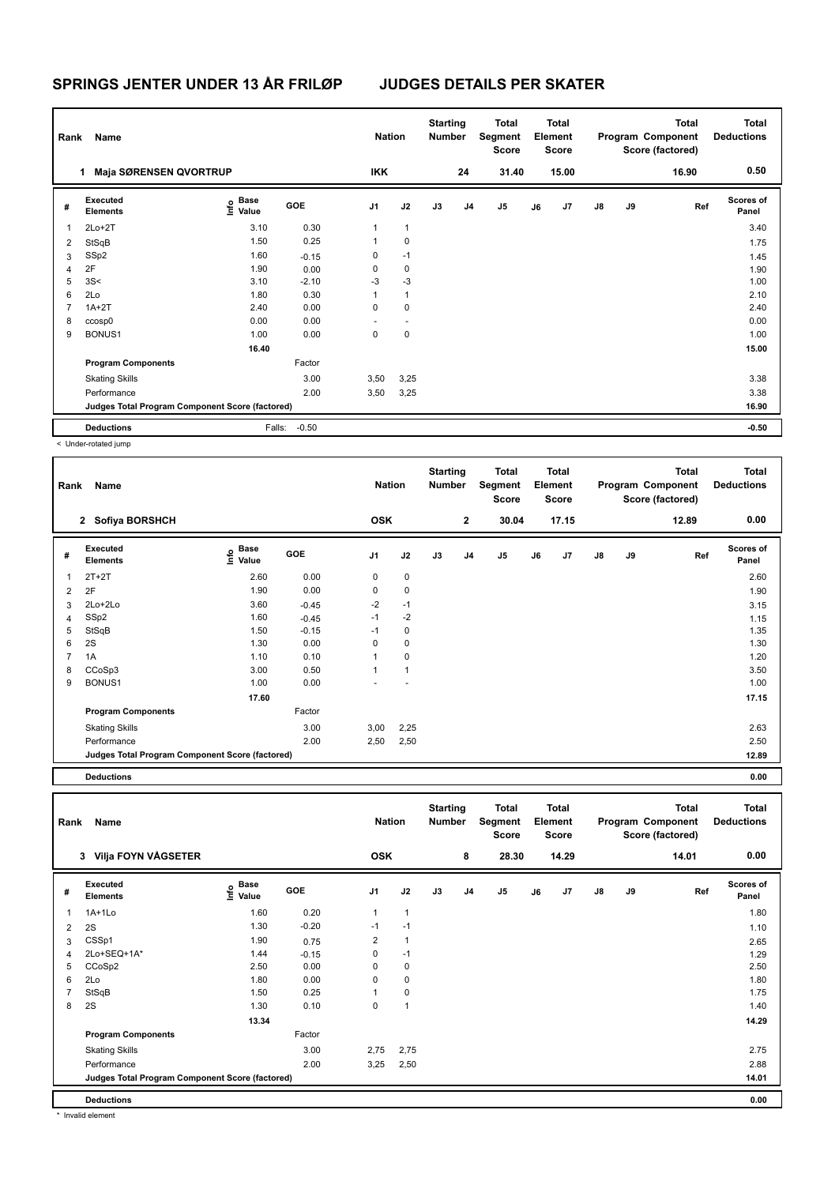| Rank           | Name                                            |                                             |         | <b>Nation</b> |                | <b>Starting</b><br><b>Number</b> |                | Total<br>Segment<br><b>Score</b> |    | <b>Total</b><br>Element<br><b>Score</b> |               |    | <b>Total</b><br>Program Component<br>Score (factored) | <b>Total</b><br><b>Deductions</b> |
|----------------|-------------------------------------------------|---------------------------------------------|---------|---------------|----------------|----------------------------------|----------------|----------------------------------|----|-----------------------------------------|---------------|----|-------------------------------------------------------|-----------------------------------|
|                | <b>Maja SØRENSEN QVORTRUP</b>                   |                                             |         | <b>IKK</b>    |                |                                  | 24             | 31.40                            |    | 15.00                                   |               |    | 16.90                                                 | 0.50                              |
| #              | Executed<br><b>Elements</b>                     | <b>Base</b><br>e <sup>Base</sup><br>⊆ Value | GOE     | J1            | J2             | J3                               | J <sub>4</sub> | J <sub>5</sub>                   | J6 | J7                                      | $\mathsf{J}8$ | J9 | Ref                                                   | <b>Scores of</b><br>Panel         |
| 1              | $2Lo+2T$                                        | 3.10                                        | 0.30    | 1             | $\mathbf{1}$   |                                  |                |                                  |    |                                         |               |    |                                                       | 3.40                              |
| 2              | StSqB                                           | 1.50                                        | 0.25    |               | $\pmb{0}$      |                                  |                |                                  |    |                                         |               |    |                                                       | 1.75                              |
| 3              | SSp2                                            | 1.60                                        | $-0.15$ | 0             | $-1$           |                                  |                |                                  |    |                                         |               |    |                                                       | 1.45                              |
| 4              | 2F                                              | 1.90                                        | 0.00    | 0             | 0              |                                  |                |                                  |    |                                         |               |    |                                                       | 1.90                              |
| 5              | 3S<                                             | 3.10                                        | $-2.10$ | -3            | $-3$           |                                  |                |                                  |    |                                         |               |    |                                                       | 1.00                              |
| 6              | 2Lo                                             | 1.80                                        | 0.30    |               | $\mathbf{1}$   |                                  |                |                                  |    |                                         |               |    |                                                       | 2.10                              |
| $\overline{7}$ | $1A+2T$                                         | 2.40                                        | 0.00    | 0             | $\mathbf 0$    |                                  |                |                                  |    |                                         |               |    |                                                       | 2.40                              |
| 8              | ccosp0                                          | 0.00                                        | 0.00    |               | $\overline{a}$ |                                  |                |                                  |    |                                         |               |    |                                                       | 0.00                              |
| 9              | BONUS1                                          | 1.00                                        | 0.00    | 0             | 0              |                                  |                |                                  |    |                                         |               |    |                                                       | 1.00                              |
|                |                                                 | 16.40                                       |         |               |                |                                  |                |                                  |    |                                         |               |    |                                                       | 15.00                             |
|                | <b>Program Components</b>                       |                                             | Factor  |               |                |                                  |                |                                  |    |                                         |               |    |                                                       |                                   |
|                | <b>Skating Skills</b>                           |                                             | 3.00    | 3,50          | 3,25           |                                  |                |                                  |    |                                         |               |    |                                                       | 3.38                              |
|                | Performance                                     |                                             | 2.00    | 3,50          | 3,25           |                                  |                |                                  |    |                                         |               |    |                                                       | 3.38                              |
|                | Judges Total Program Component Score (factored) |                                             |         |               |                |                                  |                |                                  |    |                                         |               |    |                                                       | 16.90                             |
|                | <b>Deductions</b>                               | Falls:                                      | $-0.50$ |               |                |                                  |                |                                  |    |                                         |               |    |                                                       | $-0.50$                           |
|                | a Undergreeted inser                            |                                             |         |               |                |                                  |                |                                  |    |                                         |               |    |                                                       |                                   |

< Under-rotated jump

| Rank           | Name                                            |                                                          |         | <b>Nation</b>  |                | <b>Starting</b><br><b>Number</b> |                | <b>Total</b><br>Segment<br><b>Score</b> |    | <b>Total</b><br>Element<br><b>Score</b> |               |    | <b>Total</b><br>Program Component<br>Score (factored) | <b>Total</b><br><b>Deductions</b> |
|----------------|-------------------------------------------------|----------------------------------------------------------|---------|----------------|----------------|----------------------------------|----------------|-----------------------------------------|----|-----------------------------------------|---------------|----|-------------------------------------------------------|-----------------------------------|
|                | 2 Sofiya BORSHCH                                |                                                          |         | <b>OSK</b>     |                |                                  | $\overline{2}$ | 30.04                                   |    | 17.15                                   |               |    | 12.89                                                 | 0.00                              |
| #              | Executed<br><b>Elements</b>                     | <b>Base</b><br>$\mathop{\mathsf{Int}}\nolimits$<br>Value | GOE     | J <sub>1</sub> | J2             | J3                               | J <sub>4</sub> | J <sub>5</sub>                          | J6 | J7                                      | $\mathsf{J}8$ | J9 | Ref                                                   | <b>Scores of</b><br>Panel         |
| 1              | $2T+2T$                                         | 2.60                                                     | 0.00    | 0              | 0              |                                  |                |                                         |    |                                         |               |    |                                                       | 2.60                              |
| $\overline{2}$ | 2F                                              | 1.90                                                     | 0.00    | 0              | $\pmb{0}$      |                                  |                |                                         |    |                                         |               |    |                                                       | 1.90                              |
| 3              | 2Lo+2Lo                                         | 3.60                                                     | $-0.45$ | $-2$           | $-1$           |                                  |                |                                         |    |                                         |               |    |                                                       | 3.15                              |
| 4              | SSp2                                            | 1.60                                                     | $-0.45$ | $-1$           | $-2$           |                                  |                |                                         |    |                                         |               |    |                                                       | 1.15                              |
| 5              | StSqB                                           | 1.50                                                     | $-0.15$ | $-1$           | 0              |                                  |                |                                         |    |                                         |               |    |                                                       | 1.35                              |
| 6              | 2S                                              | 1.30                                                     | 0.00    | 0              | 0              |                                  |                |                                         |    |                                         |               |    |                                                       | 1.30                              |
| 7              | 1A                                              | 1.10                                                     | 0.10    | 1              | 0              |                                  |                |                                         |    |                                         |               |    |                                                       | 1.20                              |
| 8              | CCoSp3                                          | 3.00                                                     | 0.50    | 1              | $\overline{1}$ |                                  |                |                                         |    |                                         |               |    |                                                       | 3.50                              |
| 9              | BONUS1                                          | 1.00                                                     | 0.00    |                |                |                                  |                |                                         |    |                                         |               |    |                                                       | 1.00                              |
|                |                                                 | 17.60                                                    |         |                |                |                                  |                |                                         |    |                                         |               |    |                                                       | 17.15                             |
|                | <b>Program Components</b>                       |                                                          | Factor  |                |                |                                  |                |                                         |    |                                         |               |    |                                                       |                                   |
|                | <b>Skating Skills</b>                           |                                                          | 3.00    | 3,00           | 2,25           |                                  |                |                                         |    |                                         |               |    |                                                       | 2.63                              |
|                | Performance                                     |                                                          | 2.00    | 2,50           | 2,50           |                                  |                |                                         |    |                                         |               |    |                                                       | 2.50                              |
|                | Judges Total Program Component Score (factored) |                                                          |         |                |                |                                  |                |                                         |    |                                         |               |    |                                                       | 12.89                             |
|                |                                                 |                                                          |         |                |                |                                  |                |                                         |    |                                         |               |    |                                                       |                                   |

**Deductions 0.00**

**Total Deductions Total Program Component Score (factored) Total Element Score Total Segment Score Starting Rank Name Nation Number # Executed Elements Base Value GOE J1 J2 J3 J4 J5 J6 J7 J8 J9 Scores of Panel** 1 1A+1Lo 1.60 0.20 1 1 **Ref**  1A+1Lo 1.80 **Info 3 Vilja FOYN VÅGSETER OSK 8 28.30 14.29 14.01 0.00** 2 2S 1.30 -0.20 -1 -1 1.10  $3$  CSSp1  $1.90$   $0.75$   $2$  1 4 2Lo+SEQ+1A\* 1.44 -0.15 0 -1 1.29 5 CCoSp2 2.50 0.00 0 0 2.50  $6$  2Lo  $1.80$   $1.80$   $0.00$   $0$   $0$ 7 StSqB 1.50 0.25 1 0 1.75 8 2S 1.40 1.30 0.10 0 1  **13.34 14.29 Program Components**  Skating Skills 2,75 2,75 Factor 3.00 2.75 Performance 2.00 3,25 2,50 2.88 **Deductions 0.00 Judges Total Program Component Score (factored) 14.01**

Invalid element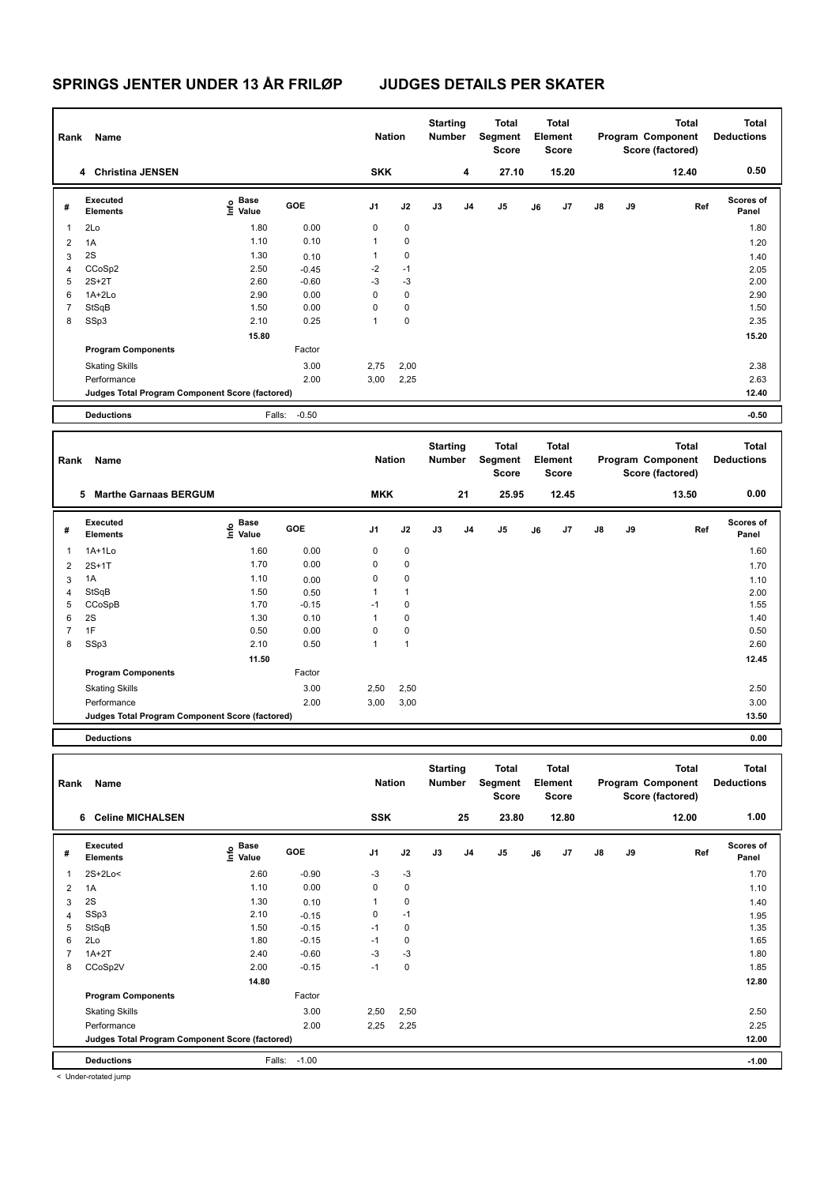| Rank           | Name                                            |                                             |              | <b>Nation</b> |              | <b>Starting</b><br>Number | <b>Total</b><br>Segment<br><b>Score</b> |    | <b>Total</b><br>Element<br><b>Score</b> |    |    | <b>Total</b><br>Program Component<br>Score (factored) | <b>Total</b><br><b>Deductions</b> |
|----------------|-------------------------------------------------|---------------------------------------------|--------------|---------------|--------------|---------------------------|-----------------------------------------|----|-----------------------------------------|----|----|-------------------------------------------------------|-----------------------------------|
|                | 4 Christina JENSEN                              |                                             |              | <b>SKK</b>    |              | 4                         | 27.10                                   |    | 15.20                                   |    |    | 12.40                                                 | 0.50                              |
| #              | <b>Executed</b><br><b>Elements</b>              | <b>Base</b><br>e <sup>Base</sup><br>⊆ Value | GOE          | J1            | J2           | J3<br>J4                  | J <sub>5</sub>                          | J6 | J7                                      | J8 | J9 | Ref                                                   | <b>Scores of</b><br>Panel         |
| 1              | 2Lo                                             | 1.80                                        | 0.00         | $\mathbf 0$   | $\mathbf 0$  |                           |                                         |    |                                         |    |    |                                                       | 1.80                              |
| $\overline{2}$ | 1A                                              | 1.10                                        | 0.10         | $\mathbf{1}$  | $\mathbf 0$  |                           |                                         |    |                                         |    |    |                                                       | 1.20                              |
| 3              | 2S                                              | 1.30                                        | 0.10         | $\mathbf{1}$  | $\pmb{0}$    |                           |                                         |    |                                         |    |    |                                                       | 1.40                              |
| $\overline{4}$ | CCoSp2                                          | 2.50                                        | $-0.45$      | $-2$          | $-1$         |                           |                                         |    |                                         |    |    |                                                       | 2.05                              |
| 5              | $2S+2T$                                         | 2.60                                        | $-0.60$      | -3            | $-3$         |                           |                                         |    |                                         |    |    |                                                       | 2.00                              |
| 6              | 1A+2Lo                                          | 2.90                                        | 0.00         | $\mathbf 0$   | $\pmb{0}$    |                           |                                         |    |                                         |    |    |                                                       | 2.90                              |
| $\overline{7}$ | StSqB                                           | 1.50                                        | 0.00         | 0             | $\pmb{0}$    |                           |                                         |    |                                         |    |    |                                                       | 1.50                              |
| 8              | SSp3                                            | 2.10                                        | 0.25         | $\mathbf{1}$  | $\mathbf 0$  |                           |                                         |    |                                         |    |    |                                                       | 2.35                              |
|                |                                                 | 15.80                                       |              |               |              |                           |                                         |    |                                         |    |    |                                                       | 15.20                             |
|                | <b>Program Components</b>                       |                                             | Factor       |               |              |                           |                                         |    |                                         |    |    |                                                       |                                   |
|                | <b>Skating Skills</b>                           |                                             | 3.00         | 2,75          | 2,00         |                           |                                         |    |                                         |    |    |                                                       | 2.38                              |
|                | Performance                                     |                                             | 2.00         | 3,00          | 2,25         |                           |                                         |    |                                         |    |    |                                                       | 2.63                              |
|                | Judges Total Program Component Score (factored) |                                             |              |               |              |                           |                                         |    |                                         |    |    |                                                       | 12.40                             |
|                | <b>Deductions</b>                               | Falls:                                      | $-0.50$      |               |              |                           |                                         |    |                                         |    |    |                                                       |                                   |
|                |                                                 |                                             |              |               |              |                           |                                         |    |                                         |    |    |                                                       | $-0.50$                           |
|                |                                                 |                                             |              |               |              |                           |                                         |    |                                         |    |    |                                                       |                                   |
|                |                                                 |                                             |              |               |              | <b>Starting</b>           | <b>Total</b>                            |    | <b>Total</b>                            |    |    | <b>Total</b>                                          | <b>Total</b>                      |
| Rank           | Name                                            |                                             |              | <b>Nation</b> |              | <b>Number</b>             | Segment<br><b>Score</b>                 |    | Element<br><b>Score</b>                 |    |    | Program Component<br>Score (factored)                 | <b>Deductions</b>                 |
|                | 5 Marthe Garnaas BERGUM                         |                                             |              | <b>MKK</b>    |              | 21                        | 25.95                                   |    | 12.45                                   |    |    | 13.50                                                 | 0.00                              |
| #              | Executed<br><b>Elements</b>                     | $\frac{6}{5}$ Base<br>$\frac{1}{5}$ Value   | GOE          | J1            | J2           | J3<br>J4                  | J <sub>5</sub>                          | J6 | J7                                      | J8 | J9 | Ref                                                   | Scores of<br>Panel                |
| $\mathbf{1}$   | $1A+1Lo$                                        | 1.60                                        | 0.00         | $\mathbf 0$   | $\mathbf 0$  |                           |                                         |    |                                         |    |    |                                                       | 1.60                              |
| $\overline{2}$ | $2S+1T$                                         | 1.70                                        | 0.00         | $\mathbf 0$   | $\mathbf 0$  |                           |                                         |    |                                         |    |    |                                                       | 1.70                              |
|                | 1A                                              | 1.10                                        |              | $\mathbf 0$   | $\mathbf 0$  |                           |                                         |    |                                         |    |    |                                                       |                                   |
| 3<br>4         | StSqB                                           | 1.50                                        | 0.00<br>0.50 | $\mathbf{1}$  | $\mathbf{1}$ |                           |                                         |    |                                         |    |    |                                                       | 1.10<br>2.00                      |
| 5              | CCoSpB                                          | 1.70                                        | $-0.15$      | $-1$          | $\pmb{0}$    |                           |                                         |    |                                         |    |    |                                                       | 1.55                              |
| 6              | 2S                                              | 1.30                                        | 0.10         | $\mathbf{1}$  | $\mathbf 0$  |                           |                                         |    |                                         |    |    |                                                       | 1.40                              |
| $\overline{7}$ | 1F                                              | 0.50                                        | 0.00         | $\mathbf 0$   | $\mathbf 0$  |                           |                                         |    |                                         |    |    |                                                       | 0.50                              |
| 8              | SSp3                                            | 2.10                                        | 0.50         | $\mathbf{1}$  | $\mathbf{1}$ |                           |                                         |    |                                         |    |    |                                                       | 2.60                              |
|                |                                                 | 11.50                                       |              |               |              |                           |                                         |    |                                         |    |    |                                                       | 12.45                             |
|                | <b>Program Components</b>                       |                                             | Factor       |               |              |                           |                                         |    |                                         |    |    |                                                       |                                   |
|                |                                                 |                                             | 3.00         | 2,50          | 2,50         |                           |                                         |    |                                         |    |    |                                                       | 2.50                              |
|                | <b>Skating Skills</b><br>Performance            |                                             | 2.00         |               |              |                           |                                         |    |                                         |    |    |                                                       | 3.00                              |
|                |                                                 |                                             |              | 3,00          | 3,00         |                           |                                         |    |                                         |    |    |                                                       | 13.50                             |
|                | Judges Total Program Component Score (factored) |                                             |              |               |              |                           |                                         |    |                                         |    |    |                                                       |                                   |
|                | <b>Deductions</b>                               |                                             |              |               |              |                           |                                         |    |                                         |    |    |                                                       | 0.00                              |

| Rank           | Name                                            |                                  |         | <b>Nation</b>  |             | <b>Starting</b><br><b>Number</b> |                | Total<br>Segment<br>Score |    | Total<br>Element<br>Score |               |    | <b>Total</b><br>Program Component<br>Score (factored) | <b>Total</b><br><b>Deductions</b> |
|----------------|-------------------------------------------------|----------------------------------|---------|----------------|-------------|----------------------------------|----------------|---------------------------|----|---------------------------|---------------|----|-------------------------------------------------------|-----------------------------------|
|                | <b>Celine MICHALSEN</b><br>6                    |                                  |         | <b>SSK</b>     |             |                                  | 25             | 23.80                     |    | 12.80                     |               |    | 12.00                                                 | 1.00                              |
| #              | Executed<br><b>Elements</b>                     | <b>Base</b><br>o Base<br>⊆ Value | GOE     | J <sub>1</sub> | J2          | J3                               | J <sub>4</sub> | J5                        | J6 | J7                        | $\mathsf{J}8$ | J9 | Ref                                                   | <b>Scores of</b><br>Panel         |
| 1              | 2S+2Lo<                                         | 2.60                             | $-0.90$ | $-3$           | $-3$        |                                  |                |                           |    |                           |               |    |                                                       | 1.70                              |
| 2              | 1A                                              | 1.10                             | 0.00    | 0              | $\mathbf 0$ |                                  |                |                           |    |                           |               |    |                                                       | 1.10                              |
| 3              | 2S                                              | 1.30                             | 0.10    | 1              | 0           |                                  |                |                           |    |                           |               |    |                                                       | 1.40                              |
| $\overline{4}$ | SSp3                                            | 2.10                             | $-0.15$ | 0              | $-1$        |                                  |                |                           |    |                           |               |    |                                                       | 1.95                              |
| 5              | StSqB                                           | 1.50                             | $-0.15$ | $-1$           | $\mathbf 0$ |                                  |                |                           |    |                           |               |    |                                                       | 1.35                              |
| 6              | 2Lo                                             | 1.80                             | $-0.15$ | $-1$           | $\mathbf 0$ |                                  |                |                           |    |                           |               |    |                                                       | 1.65                              |
|                | $1A+2T$                                         | 2.40                             | $-0.60$ | $-3$           | $-3$        |                                  |                |                           |    |                           |               |    |                                                       | 1.80                              |
| 8              | CCoSp2V                                         | 2.00                             | $-0.15$ | $-1$           | $\mathbf 0$ |                                  |                |                           |    |                           |               |    |                                                       | 1.85                              |
|                |                                                 | 14.80                            |         |                |             |                                  |                |                           |    |                           |               |    |                                                       | 12.80                             |
|                | <b>Program Components</b>                       |                                  | Factor  |                |             |                                  |                |                           |    |                           |               |    |                                                       |                                   |
|                | <b>Skating Skills</b>                           |                                  | 3.00    | 2,50           | 2,50        |                                  |                |                           |    |                           |               |    |                                                       | 2.50                              |
|                | Performance                                     |                                  | 2.00    | 2,25           | 2,25        |                                  |                |                           |    |                           |               |    |                                                       | 2.25                              |
|                | Judges Total Program Component Score (factored) |                                  |         |                |             |                                  |                |                           |    |                           |               |    |                                                       | 12.00                             |
|                | <b>Deductions</b>                               | Falls:                           | $-1.00$ |                |             |                                  |                |                           |    |                           |               |    |                                                       | $-1.00$                           |
|                | a Under retained inner                          |                                  |         |                |             |                                  |                |                           |    |                           |               |    |                                                       |                                   |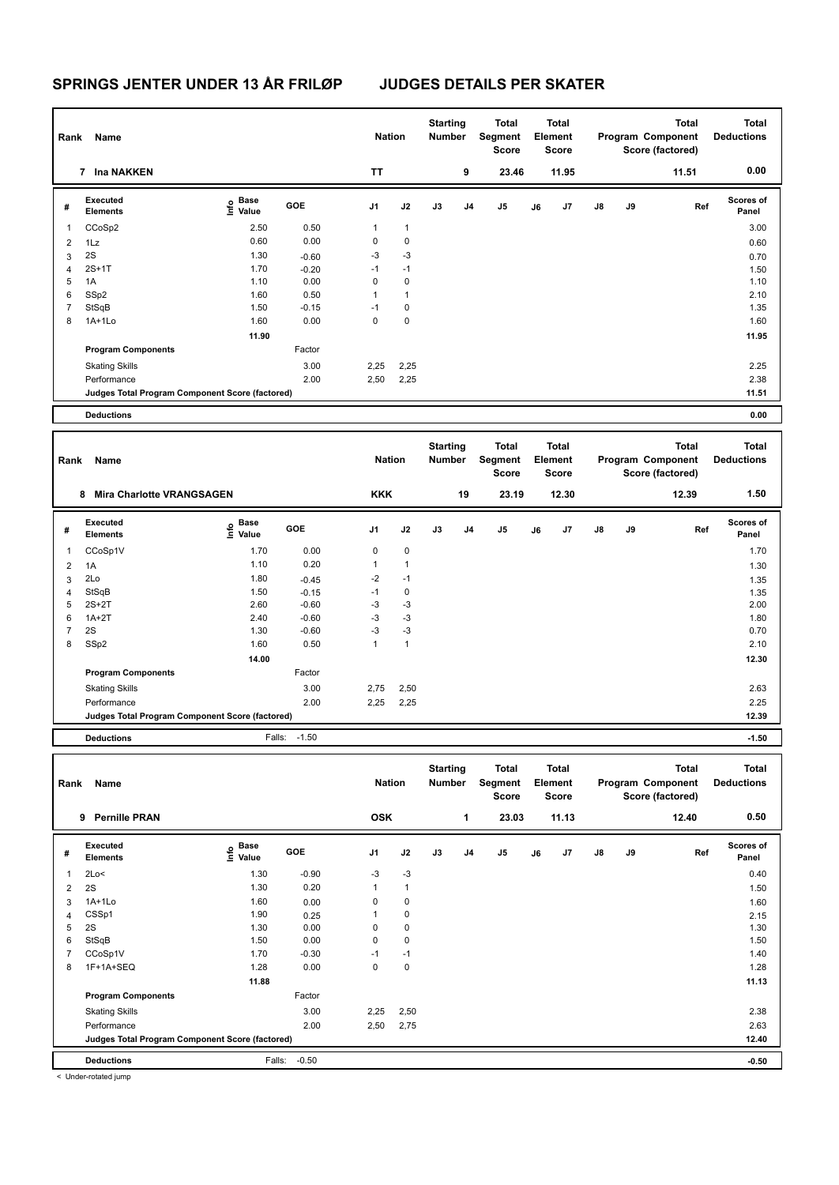| Rank           | Name                                            |                                      |              | <b>Nation</b> |              | <b>Starting</b><br>Number |    | Total<br>Segment<br>Score        |       |    | Total<br>Element<br><b>Score</b>        |    |    | <b>Total</b><br>Program Component<br>Score (factored) | <b>Total</b><br><b>Deductions</b> |
|----------------|-------------------------------------------------|--------------------------------------|--------------|---------------|--------------|---------------------------|----|----------------------------------|-------|----|-----------------------------------------|----|----|-------------------------------------------------------|-----------------------------------|
|                | 7 Ina NAKKEN                                    |                                      |              | TΤ            |              |                           | 9  |                                  | 23.46 |    | 11.95                                   |    |    | 11.51                                                 | 0.00                              |
| #              | <b>Executed</b><br><b>Elements</b>              | Base<br>e <sup>Base</sup><br>⊆ Value | GOE          | J1            | J2           | J3                        | J4 | J5                               |       | J6 | J7                                      | J8 | J9 | Ref                                                   | <b>Scores of</b><br>Panel         |
| 1              | CCoSp2                                          | 2.50                                 | 0.50         | $\mathbf{1}$  | $\mathbf{1}$ |                           |    |                                  |       |    |                                         |    |    |                                                       | 3.00                              |
| 2              | 1Lz                                             | 0.60                                 | 0.00         | 0             | $\pmb{0}$    |                           |    |                                  |       |    |                                         |    |    |                                                       | 0.60                              |
| 3              | 2S                                              | 1.30                                 | $-0.60$      | -3            | -3           |                           |    |                                  |       |    |                                         |    |    |                                                       | 0.70                              |
| $\overline{4}$ | $2S+1T$                                         | 1.70                                 | $-0.20$      | $-1$          | $-1$         |                           |    |                                  |       |    |                                         |    |    |                                                       | 1.50                              |
| 5              | 1A                                              | 1.10                                 | 0.00         | $\mathbf 0$   | $\mathbf 0$  |                           |    |                                  |       |    |                                         |    |    |                                                       | 1.10                              |
| 6              | SSp2                                            | 1.60                                 | 0.50         | 1             | $\mathbf{1}$ |                           |    |                                  |       |    |                                         |    |    |                                                       | 2.10                              |
| 7              | StSqB                                           | 1.50                                 | $-0.15$      | $-1$          | $\pmb{0}$    |                           |    |                                  |       |    |                                         |    |    |                                                       | 1.35                              |
| 8              | 1A+1Lo                                          | 1.60                                 | 0.00         | $\mathbf 0$   | 0            |                           |    |                                  |       |    |                                         |    |    |                                                       | 1.60                              |
|                |                                                 | 11.90                                |              |               |              |                           |    |                                  |       |    |                                         |    |    |                                                       | 11.95                             |
|                | <b>Program Components</b>                       |                                      | Factor       |               |              |                           |    |                                  |       |    |                                         |    |    |                                                       |                                   |
|                |                                                 |                                      |              |               |              |                           |    |                                  |       |    |                                         |    |    |                                                       |                                   |
|                | <b>Skating Skills</b>                           |                                      | 3.00         | 2,25          | 2,25         |                           |    |                                  |       |    |                                         |    |    |                                                       | 2.25                              |
|                | Performance                                     |                                      | 2.00         | 2,50          | 2,25         |                           |    |                                  |       |    |                                         |    |    |                                                       | 2.38                              |
|                | Judges Total Program Component Score (factored) |                                      |              |               |              |                           |    |                                  |       |    |                                         |    |    |                                                       | 11.51                             |
|                | <b>Deductions</b>                               |                                      |              |               |              |                           |    |                                  |       |    |                                         |    |    |                                                       | 0.00                              |
| Rank           | Name                                            |                                      |              | <b>Nation</b> |              | <b>Starting</b><br>Number |    | Total<br>Segment<br><b>Score</b> |       |    | <b>Total</b><br>Element<br><b>Score</b> |    |    | <b>Total</b><br>Program Component                     | <b>Total</b><br><b>Deductions</b> |
|                | 8 Mira Charlotte VRANGSAGEN                     |                                      |              | <b>KKK</b>    |              |                           | 19 | 23.19                            |       |    | 12.30                                   |    |    | Score (factored)<br>12.39                             | 1.50                              |
|                |                                                 |                                      |              |               |              |                           |    |                                  |       |    |                                         |    |    |                                                       |                                   |
| #              | <b>Executed</b><br><b>Elements</b>              | Base<br>Info<br>Value                | GOE          | J1            | J2           | J3                        | J4 | J5                               |       | J6 | J7                                      | J8 | J9 | Ref                                                   | Scores of<br>Panel                |
| 1              | CCoSp1V                                         | 1.70                                 | 0.00         | 0             | $\pmb{0}$    |                           |    |                                  |       |    |                                         |    |    |                                                       | 1.70                              |
| $\overline{2}$ | 1A                                              | 1.10                                 | 0.20         | $\mathbf{1}$  | $\mathbf{1}$ |                           |    |                                  |       |    |                                         |    |    |                                                       | 1.30                              |
| 3              | 2Lo                                             | 1.80                                 | $-0.45$      | $-2$          | $-1$         |                           |    |                                  |       |    |                                         |    |    |                                                       | 1.35                              |
| 4              | StSqB                                           | 1.50                                 | $-0.15$      | $-1$          | $\pmb{0}$    |                           |    |                                  |       |    |                                         |    |    |                                                       | 1.35                              |
| 5              | $2S+2T$                                         | 2.60                                 | $-0.60$      | $-3$          | -3           |                           |    |                                  |       |    |                                         |    |    |                                                       | 2.00                              |
| 6              | $1A+2T$                                         | 2.40                                 | $-0.60$      | -3            | $-3$         |                           |    |                                  |       |    |                                         |    |    |                                                       | 1.80                              |
| 7              | 2S                                              | 1.30                                 | $-0.60$      | $-3$          | -3           |                           |    |                                  |       |    |                                         |    |    |                                                       | 0.70                              |
| 8              | SSp2                                            | 1.60                                 | 0.50         | $\mathbf{1}$  | $\mathbf{1}$ |                           |    |                                  |       |    |                                         |    |    |                                                       | 2.10                              |
|                |                                                 | 14.00                                |              |               |              |                           |    |                                  |       |    |                                         |    |    |                                                       | 12.30                             |
|                | <b>Program Components</b>                       |                                      | Factor       |               |              |                           |    |                                  |       |    |                                         |    |    |                                                       |                                   |
|                | <b>Skating Skills</b>                           |                                      | 3.00         | 2,75          | 2,50         |                           |    |                                  |       |    |                                         |    |    |                                                       | 2.63                              |
|                | Performance                                     |                                      | 2.00         | 2,25          | 2,25         |                           |    |                                  |       |    |                                         |    |    |                                                       | 2.25                              |
|                | Judges Total Program Component Score (factored) |                                      |              |               |              |                           |    |                                  |       |    |                                         |    |    |                                                       | 12.39                             |
|                | <b>Deductions</b>                               |                                      | Falls: -1.50 |               |              |                           |    |                                  |       |    |                                         |    |    |                                                       | $-1.50$                           |
|                |                                                 |                                      |              |               |              |                           |    |                                  |       |    |                                         |    |    |                                                       |                                   |
|                | Rank Name                                       |                                      |              | <b>Nation</b> |              | <b>Starting</b><br>Number |    | <b>Total</b><br>Segment<br>Score |       |    | <b>Total</b><br>Element<br><b>Score</b> |    |    | <b>Total</b><br>Program Component<br>Score (factored) | <b>Total</b><br><b>Deductions</b> |
|                | 9 Pernille PRAN                                 |                                      |              | <b>OSK</b>    |              |                           | 1  | 23.03                            |       |    | 11.13                                   |    |    | 12.40                                                 | 0.50                              |
| #              | Executed<br><b>Elements</b>                     | Base<br>lnfo<br>Value                | GOE          | J1            | J2           | $\mathsf{J3}$             | J4 | J5                               |       | J6 | J7                                      | J8 | J9 | Ref                                                   | Scores of<br>Panel                |
| $\mathbf{1}$   | 2Lo<                                            | 1.30                                 | $-0.90$      | -3            | $-3$         |                           |    |                                  |       |    |                                         |    |    |                                                       | 0.40                              |
| $\overline{2}$ | 2S                                              | 1.30                                 | 0.20         | $\mathbf{1}$  | $\mathbf{1}$ |                           |    |                                  |       |    |                                         |    |    |                                                       | 1.50                              |
| 3              | $1A+1Lo$                                        | 1.60                                 | 0.00         | 0             | $\pmb{0}$    |                           |    |                                  |       |    |                                         |    |    |                                                       | 1.60                              |
| $\overline{4}$ | CSSp1                                           | 1.90                                 | 0.25         | 1             | $\pmb{0}$    |                           |    |                                  |       |    |                                         |    |    |                                                       | 2.15                              |
| 5              | 2S                                              | 1.30                                 | 0.00         | 0             | $\pmb{0}$    |                           |    |                                  |       |    |                                         |    |    |                                                       | 1.30                              |
| 6              | StSqB                                           | 1.50                                 | 0.00         | $\mathbf 0$   | $\pmb{0}$    |                           |    |                                  |       |    |                                         |    |    |                                                       | 1.50                              |
| $\overline{7}$ | CCoSp1V                                         | 1.70                                 | $-0.30$      | $-1$          | $-1$         |                           |    |                                  |       |    |                                         |    |    |                                                       | 1.40                              |
| 8              | 1F+1A+SEQ                                       | 1.28                                 | 0.00         | $\mathbf 0$   | $\pmb{0}$    |                           |    |                                  |       |    |                                         |    |    |                                                       | 1.28                              |
|                |                                                 | 11.88                                |              |               |              |                           |    |                                  |       |    |                                         |    |    |                                                       | 11.13                             |
|                | <b>Program Components</b>                       |                                      | Factor       |               |              |                           |    |                                  |       |    |                                         |    |    |                                                       |                                   |
|                | <b>Skating Skills</b>                           |                                      | 3.00         | 2,25          | 2,50         |                           |    |                                  |       |    |                                         |    |    |                                                       | 2.38                              |
|                | Performance                                     |                                      | 2.00         | 2,50          | 2,75         |                           |    |                                  |       |    |                                         |    |    |                                                       | 2.63                              |
|                | Judges Total Program Component Score (factored) |                                      |              |               |              |                           |    |                                  |       |    |                                         |    |    |                                                       | 12.40                             |
|                |                                                 |                                      |              |               |              |                           |    |                                  |       |    |                                         |    |    |                                                       |                                   |
|                | <b>Deductions</b>                               | Falls:                               | $-0.50$      |               |              |                           |    |                                  |       |    |                                         |    |    |                                                       | $-0.50$                           |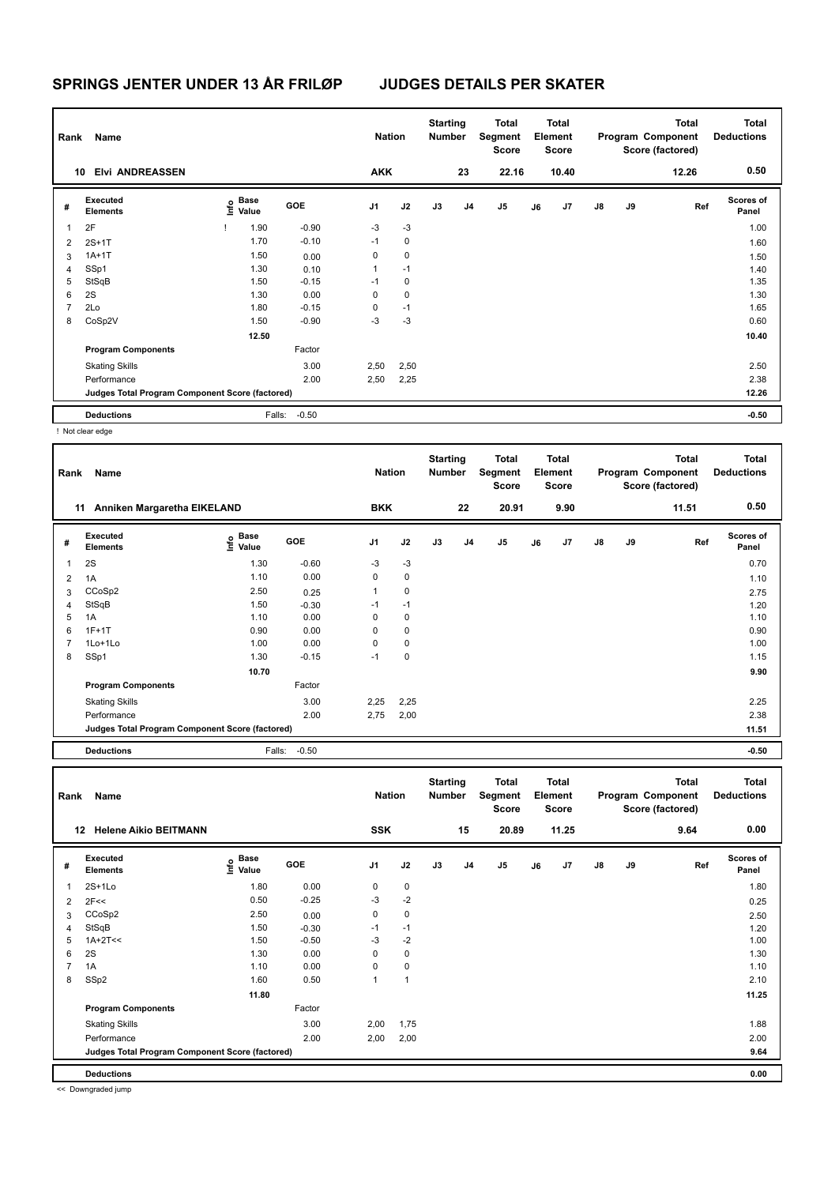| Rank | Name                                            |      |                      |         | <b>Nation</b>  |             | <b>Starting</b><br><b>Number</b> |                | Total<br>Segment<br><b>Score</b> |    | <b>Total</b><br>Element<br><b>Score</b> |               |    | <b>Total</b><br>Program Component<br>Score (factored) | <b>Total</b><br><b>Deductions</b> |
|------|-------------------------------------------------|------|----------------------|---------|----------------|-------------|----------------------------------|----------------|----------------------------------|----|-----------------------------------------|---------------|----|-------------------------------------------------------|-----------------------------------|
| 10   | <b>Elvi ANDREASSEN</b>                          |      |                      |         | <b>AKK</b>     |             |                                  | 23             | 22.16                            |    | 10.40                                   |               |    | 12.26                                                 | 0.50                              |
| #    | Executed<br><b>Elements</b>                     | ١nfo | <b>Base</b><br>Value | GOE     | J <sub>1</sub> | J2          | J3                               | J <sub>4</sub> | J <sub>5</sub>                   | J6 | J7                                      | $\mathsf{J}8$ | J9 | Ref                                                   | Scores of<br>Panel                |
| 1    | 2F                                              |      | 1.90                 | $-0.90$ | $-3$           | $-3$        |                                  |                |                                  |    |                                         |               |    |                                                       | 1.00                              |
| 2    | $2S+1T$                                         |      | 1.70                 | $-0.10$ | $-1$           | $\mathbf 0$ |                                  |                |                                  |    |                                         |               |    |                                                       | 1.60                              |
| 3    | $1A+1T$                                         |      | 1.50                 | 0.00    | 0              | $\mathbf 0$ |                                  |                |                                  |    |                                         |               |    |                                                       | 1.50                              |
| 4    | SSp1                                            |      | 1.30                 | 0.10    | 1              | $-1$        |                                  |                |                                  |    |                                         |               |    |                                                       | 1.40                              |
| 5    | StSqB                                           |      | 1.50                 | $-0.15$ | $-1$           | 0           |                                  |                |                                  |    |                                         |               |    |                                                       | 1.35                              |
| 6    | 2S                                              |      | 1.30                 | 0.00    | 0              | $\mathbf 0$ |                                  |                |                                  |    |                                         |               |    |                                                       | 1.30                              |
| 7    | 2Lo                                             |      | 1.80                 | $-0.15$ | 0              | $-1$        |                                  |                |                                  |    |                                         |               |    |                                                       | 1.65                              |
| 8    | CoSp2V                                          |      | 1.50                 | $-0.90$ | -3             | $-3$        |                                  |                |                                  |    |                                         |               |    |                                                       | 0.60                              |
|      |                                                 |      | 12.50                |         |                |             |                                  |                |                                  |    |                                         |               |    |                                                       | 10.40                             |
|      | <b>Program Components</b>                       |      |                      | Factor  |                |             |                                  |                |                                  |    |                                         |               |    |                                                       |                                   |
|      | <b>Skating Skills</b>                           |      |                      | 3.00    | 2,50           | 2,50        |                                  |                |                                  |    |                                         |               |    |                                                       | 2.50                              |
|      | Performance                                     |      |                      | 2.00    | 2,50           | 2,25        |                                  |                |                                  |    |                                         |               |    |                                                       | 2.38                              |
|      | Judges Total Program Component Score (factored) |      |                      |         |                |             |                                  |                |                                  |    |                                         |               |    |                                                       | 12.26                             |
|      | <b>Deductions</b>                               |      | Falls:               | $-0.50$ |                |             |                                  |                |                                  |    |                                         |               |    |                                                       | $-0.50$                           |

! Not clear edge

| Rank | Name                                            |                   |         | <b>Nation</b>  |             | <b>Starting</b><br><b>Number</b> |                | Total<br>Segment<br><b>Score</b> |    | Total<br>Element<br><b>Score</b> |               |    | <b>Total</b><br>Program Component<br>Score (factored) | <b>Total</b><br><b>Deductions</b> |
|------|-------------------------------------------------|-------------------|---------|----------------|-------------|----------------------------------|----------------|----------------------------------|----|----------------------------------|---------------|----|-------------------------------------------------------|-----------------------------------|
|      | Anniken Margaretha EIKELAND<br>11               |                   |         | <b>BKK</b>     |             |                                  | 22             | 20.91                            |    | 9.90                             |               |    | 11.51                                                 | 0.50                              |
| #    | <b>Executed</b><br><b>Elements</b>              | e Base<br>E Value | GOE     | J <sub>1</sub> | J2          | J3                               | J <sub>4</sub> | J5                               | J6 | J7                               | $\mathsf{J}8$ | J9 | Ref                                                   | <b>Scores of</b><br>Panel         |
| 1    | 2S                                              | 1.30              | $-0.60$ | $-3$           | $-3$        |                                  |                |                                  |    |                                  |               |    |                                                       | 0.70                              |
| 2    | 1A                                              | 1.10              | 0.00    | 0              | 0           |                                  |                |                                  |    |                                  |               |    |                                                       | 1.10                              |
| 3    | CCoSp2                                          | 2.50              | 0.25    | 1              | $\mathbf 0$ |                                  |                |                                  |    |                                  |               |    |                                                       | 2.75                              |
| 4    | StSqB                                           | 1.50              | $-0.30$ | $-1$           | $-1$        |                                  |                |                                  |    |                                  |               |    |                                                       | 1.20                              |
| 5    | 1A                                              | 1.10              | 0.00    | 0              | $\mathbf 0$ |                                  |                |                                  |    |                                  |               |    |                                                       | 1.10                              |
| 6    | $1F+1T$                                         | 0.90              | 0.00    | 0              | 0           |                                  |                |                                  |    |                                  |               |    |                                                       | 0.90                              |
| 7    | $1$ Lo $+1$ Lo                                  | 1.00              | 0.00    | 0              | 0           |                                  |                |                                  |    |                                  |               |    |                                                       | 1.00                              |
| 8    | SSp1                                            | 1.30              | $-0.15$ | $-1$           | $\mathbf 0$ |                                  |                |                                  |    |                                  |               |    |                                                       | 1.15                              |
|      |                                                 | 10.70             |         |                |             |                                  |                |                                  |    |                                  |               |    |                                                       | 9.90                              |
|      | <b>Program Components</b>                       |                   | Factor  |                |             |                                  |                |                                  |    |                                  |               |    |                                                       |                                   |
|      | <b>Skating Skills</b>                           |                   | 3.00    | 2,25           | 2,25        |                                  |                |                                  |    |                                  |               |    |                                                       | 2.25                              |
|      | Performance                                     |                   | 2.00    | 2,75           | 2,00        |                                  |                |                                  |    |                                  |               |    |                                                       | 2.38                              |
|      | Judges Total Program Component Score (factored) |                   |         |                |             |                                  |                |                                  |    |                                  |               |    |                                                       | 11.51                             |
|      | <b>Deductions</b>                               | Falls:            | $-0.50$ |                |             |                                  |                |                                  |    |                                  |               |    |                                                       | $-0.50$                           |

| Rank | Name                                            |                                  |         | <b>Nation</b>  |                | <b>Starting</b><br><b>Number</b> |    | <b>Total</b><br>Segment<br><b>Score</b> |    | <b>Total</b><br>Element<br><b>Score</b> |               |    | <b>Total</b><br>Program Component<br>Score (factored) | <b>Total</b><br><b>Deductions</b> |
|------|-------------------------------------------------|----------------------------------|---------|----------------|----------------|----------------------------------|----|-----------------------------------------|----|-----------------------------------------|---------------|----|-------------------------------------------------------|-----------------------------------|
|      | <b>Helene Aikio BEITMANN</b><br>12              |                                  |         | <b>SSK</b>     |                |                                  | 15 | 20.89                                   |    | 11.25                                   |               |    | 9.64                                                  | 0.00                              |
| #    | Executed<br><b>Elements</b>                     | <b>Base</b><br>e Base<br>⊆ Value | GOE     | J <sub>1</sub> | J2             | J3                               | J4 | J <sub>5</sub>                          | J6 | J7                                      | $\mathsf{J}8$ | J9 | Ref                                                   | <b>Scores of</b><br>Panel         |
| 1    | $2S+1Lo$                                        | 1.80                             | 0.00    | 0              | $\mathbf 0$    |                                  |    |                                         |    |                                         |               |    |                                                       | 1.80                              |
| 2    | 2F<<                                            | 0.50                             | $-0.25$ | -3             | $-2$           |                                  |    |                                         |    |                                         |               |    |                                                       | 0.25                              |
| 3    | CCoSp2                                          | 2.50                             | 0.00    | 0              | 0              |                                  |    |                                         |    |                                         |               |    |                                                       | 2.50                              |
| 4    | StSqB                                           | 1.50                             | $-0.30$ | $-1$           | $-1$           |                                  |    |                                         |    |                                         |               |    |                                                       | 1.20                              |
| 5    | $1A+2T<<$                                       | 1.50                             | $-0.50$ | $-3$           | $-2$           |                                  |    |                                         |    |                                         |               |    |                                                       | 1.00                              |
| 6    | 2S                                              | 1.30                             | 0.00    | 0              | $\mathbf 0$    |                                  |    |                                         |    |                                         |               |    |                                                       | 1.30                              |
| 7    | 1A                                              | 1.10                             | 0.00    | 0              | $\mathbf 0$    |                                  |    |                                         |    |                                         |               |    |                                                       | 1.10                              |
| 8    | SSp2                                            | 1.60                             | 0.50    | 1              | $\overline{1}$ |                                  |    |                                         |    |                                         |               |    |                                                       | 2.10                              |
|      |                                                 | 11.80                            |         |                |                |                                  |    |                                         |    |                                         |               |    |                                                       | 11.25                             |
|      | <b>Program Components</b>                       |                                  | Factor  |                |                |                                  |    |                                         |    |                                         |               |    |                                                       |                                   |
|      | <b>Skating Skills</b>                           |                                  | 3.00    | 2,00           | 1,75           |                                  |    |                                         |    |                                         |               |    |                                                       | 1.88                              |
|      | Performance                                     |                                  | 2.00    | 2,00           | 2,00           |                                  |    |                                         |    |                                         |               |    |                                                       | 2.00                              |
|      | Judges Total Program Component Score (factored) |                                  |         |                |                |                                  |    |                                         |    |                                         |               |    |                                                       | 9.64                              |
|      | <b>Deductions</b>                               |                                  |         |                |                |                                  |    |                                         |    |                                         |               |    |                                                       | 0.00                              |

<< Downgraded jump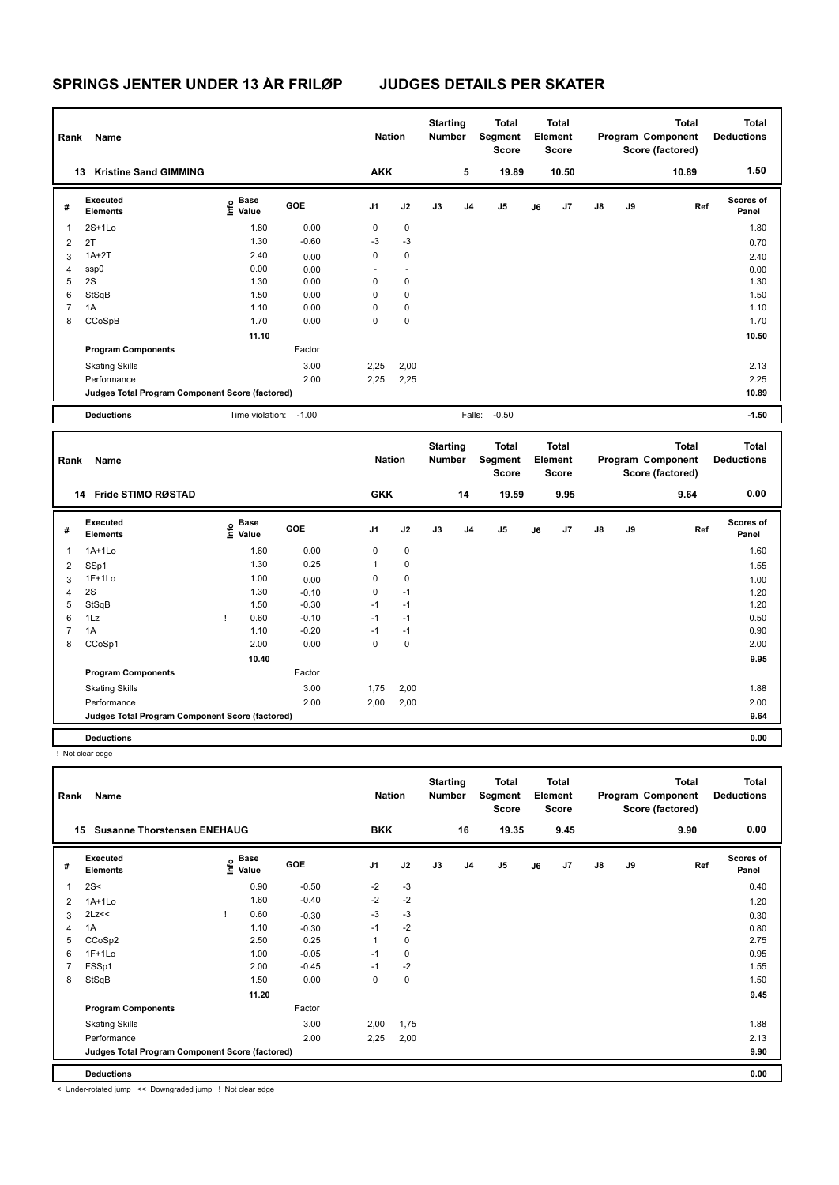| Rank           | Name                                            |                                  |            | <b>Nation</b>  |                      | <b>Starting</b><br><b>Number</b> |                | <b>Total</b><br>Segment<br><b>Score</b>        |    | <b>Total</b><br>Element<br><b>Score</b> |               |    | <b>Total</b><br>Program Component<br>Score (factored) | <b>Total</b><br><b>Deductions</b> |
|----------------|-------------------------------------------------|----------------------------------|------------|----------------|----------------------|----------------------------------|----------------|------------------------------------------------|----|-----------------------------------------|---------------|----|-------------------------------------------------------|-----------------------------------|
|                | <b>Kristine Sand GIMMING</b><br>13              |                                  |            | <b>AKK</b>     |                      |                                  | 5              | 19.89                                          |    | 10.50                                   |               |    | 10.89                                                 | 1.50                              |
| #              | <b>Executed</b><br><b>Elements</b>              | <b>Base</b><br>e Base<br>E Value | <b>GOE</b> | J <sub>1</sub> | J2                   | J3                               | J <sub>4</sub> | J <sub>5</sub>                                 | J6 | J7                                      | J8            | J9 | Ref                                                   | <b>Scores of</b><br>Panel         |
| 1              | $2S+1L0$                                        | 1.80                             | 0.00       | 0              | 0                    |                                  |                |                                                |    |                                         |               |    |                                                       | 1.80                              |
| 2              | 2T                                              | 1.30                             | $-0.60$    | $-3$           | $-3$                 |                                  |                |                                                |    |                                         |               |    |                                                       | 0.70                              |
| 3              | $1A+2T$                                         | 2.40                             | 0.00       | $\mathbf 0$    | $\mathbf 0$          |                                  |                |                                                |    |                                         |               |    |                                                       | 2.40                              |
| 4              | ssp0                                            | 0.00                             | 0.00       |                | $\ddot{\phantom{1}}$ |                                  |                |                                                |    |                                         |               |    |                                                       | 0.00                              |
| 5              | 2S                                              | 1.30                             | 0.00       | $\mathbf 0$    | 0                    |                                  |                |                                                |    |                                         |               |    |                                                       | 1.30                              |
| 6              | StSqB                                           | 1.50                             | 0.00       | 0              | 0                    |                                  |                |                                                |    |                                         |               |    |                                                       | 1.50                              |
| $\overline{7}$ | 1A                                              | 1.10                             | 0.00       | 0              | 0                    |                                  |                |                                                |    |                                         |               |    |                                                       | 1.10                              |
| 8              | CCoSpB                                          | 1.70                             | 0.00       | $\mathbf 0$    | $\mathbf 0$          |                                  |                |                                                |    |                                         |               |    |                                                       | 1.70                              |
|                |                                                 | 11.10                            |            |                |                      |                                  |                |                                                |    |                                         |               |    |                                                       | 10.50                             |
|                | <b>Program Components</b>                       |                                  | Factor     |                |                      |                                  |                |                                                |    |                                         |               |    |                                                       |                                   |
|                | <b>Skating Skills</b>                           |                                  | 3.00       | 2,25           | 2,00                 |                                  |                |                                                |    |                                         |               |    |                                                       | 2.13                              |
|                | Performance                                     |                                  | 2.00       | 2,25           | 2,25                 |                                  |                |                                                |    |                                         |               |    |                                                       | 2.25                              |
|                | Judges Total Program Component Score (factored) |                                  |            |                |                      |                                  |                |                                                |    |                                         |               |    |                                                       | 10.89                             |
|                | <b>Deductions</b>                               | Time violation: -1.00            |            |                |                      |                                  | Falls:         | $-0.50$                                        |    |                                         |               |    |                                                       | $-1.50$                           |
| Rank           | Name                                            |                                  |            | <b>Nation</b>  |                      | <b>Starting</b><br><b>Number</b> |                | <b>Total</b><br><b>Segment</b><br><b>Score</b> |    | <b>Total</b><br>Element<br><b>Score</b> |               |    | <b>Total</b><br>Program Component<br>Score (factored) | <b>Total</b><br><b>Deductions</b> |
|                | Fride STIMO RØSTAD<br>14                        |                                  |            | <b>GKK</b>     |                      |                                  | 14             | 19.59                                          |    | 9.95                                    |               |    | 9.64                                                  | 0.00                              |
| #              | Executed<br><b>Elements</b>                     | e Base<br>E Value<br>Value       | GOE        | J <sub>1</sub> | J2                   | J3                               | J <sub>4</sub> | J <sub>5</sub>                                 | J6 | J7                                      | $\mathsf{J}8$ | J9 | Ref                                                   | Scores of<br>Panel                |
| 1              | $1A+1Lo$                                        | 1.60                             | 0.00       | 0              | $\mathbf 0$          |                                  |                |                                                |    |                                         |               |    |                                                       | 1.60                              |
| $\overline{2}$ | SSp1                                            | 1.30                             | 0.25       | 1              | 0                    |                                  |                |                                                |    |                                         |               |    |                                                       | 1.55                              |
| 3              | $1F+1Lo$                                        | 1.00                             | 0.00       | $\mathbf 0$    | 0                    |                                  |                |                                                |    |                                         |               |    |                                                       | 1.00                              |

4 2S 1.30 -0.10 0 -1 StSqB 1.50 -0.30 -1 -1 1.20 1Lz ! 0.60 -0.10 -1 -1 0.50 1A 1.10 -0.20 -1 -1 0.90 CCoSp1 2.00 0.00 0 0 2.00

Performance 2.00 2,00 2,00 2.00

**Judges Total Program Component Score (factored) 9.64**

 **10.40 9.95**

3.00 1,75 2,00 1.88

**Deductions 0.00** ! Not clear edge **Total Deductions Total Program Component Score (factored) Total Element Score Total Segment Score Starting Rank Name Nation Number # Executed Elements Base Value GOE J1 J2 J3 J4 J5 J6 J7 J8 J9 Scores of Panel** 1 2S< 0.90 -0.50 -2 -3 **Ref**  2S< 0.40 **Info 15 Susanne Thorstensen ENEHAUG BKK 16 19.35 9.45 9.90 0.00** 2 1A+1Lo 1.60 -0.40 -2 -2 1.20 3  $2Lz \le$  9.30  $-0.30$   $-3$   $-3$ 4 1A 10 0.30 -1 -2 0.80 0.80 5 CCoSp2 2.50 0.25 1 0 2.75 6 1F+1Lo 1.00 -0.05 -1 0 0.95 7 FSSp1 2.00 -0.45 -1 -2 1.55 8 StSqB 1.50 0.00 0 0 1.50 **11.20 9.45 Program Components**  Skating Skills 2,00 1,75 Factor 3.00 2,00 1,75 2.00 1,75 2.00 1.88 Performance 2.00 2,25 2,00 2.13

**Deductions 0.00 Judges Total Program Component Score (factored) 9.90**

< Under-rotated jump << Downgraded jump ! Not clear edge

**Program Components** 

Skating Skills 1,75 2,00

Factor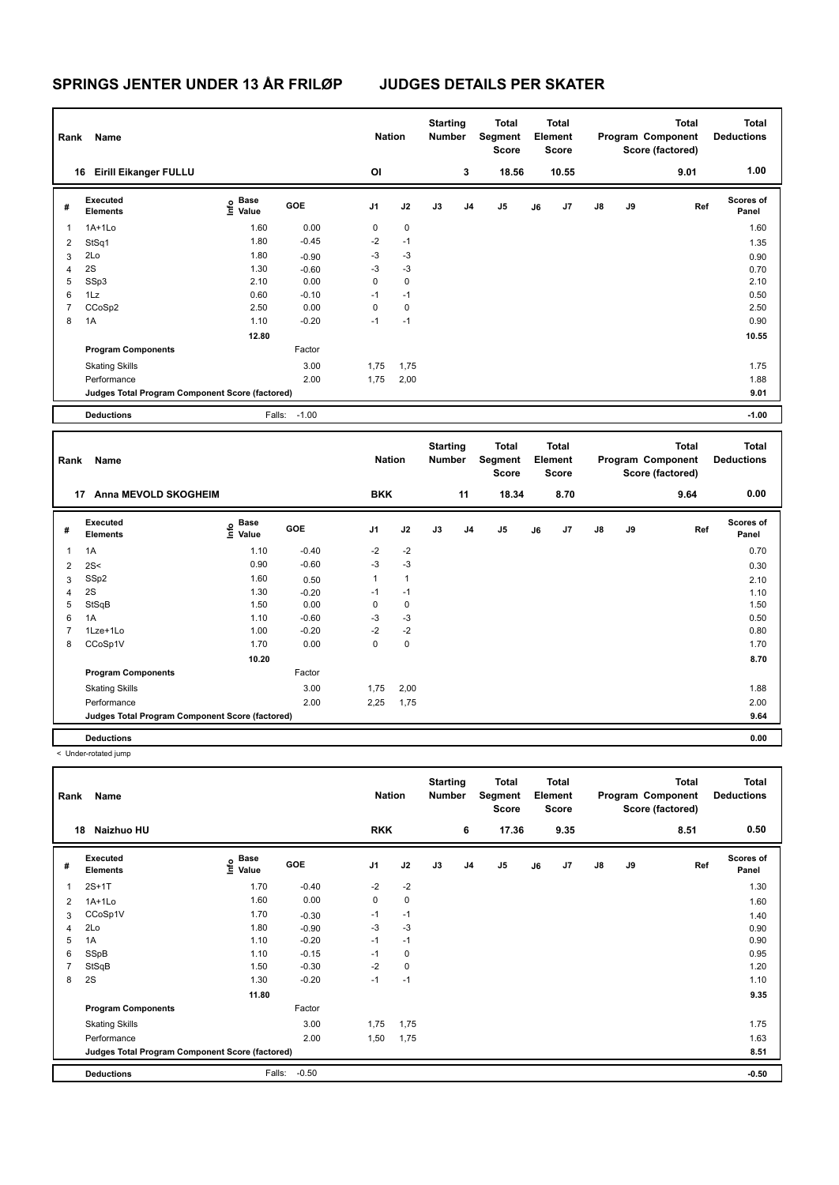| Rank           | Name                                            |                                  |              | <b>Nation</b>  |           | <b>Starting</b><br><b>Number</b> |                | <b>Total</b><br>Segment<br><b>Score</b> |    | <b>Total</b><br>Element<br><b>Score</b> |               |    | <b>Total</b><br>Program Component<br>Score (factored) | <b>Total</b><br><b>Deductions</b> |
|----------------|-------------------------------------------------|----------------------------------|--------------|----------------|-----------|----------------------------------|----------------|-----------------------------------------|----|-----------------------------------------|---------------|----|-------------------------------------------------------|-----------------------------------|
|                | <b>Eirill Eikanger FULLU</b><br>16              |                                  |              | OI             |           |                                  | 3              | 18.56                                   |    | 10.55                                   |               |    | 9.01                                                  | 1.00                              |
| #              | Executed<br><b>Elements</b>                     | <b>Base</b><br>e Base<br>⊆ Value | GOE          | J <sub>1</sub> | J2        | J3                               | J <sub>4</sub> | J <sub>5</sub>                          | J6 | J7                                      | $\mathsf{J}8$ | J9 | Ref                                                   | <b>Scores of</b><br>Panel         |
| 1              | $1A+1L0$                                        | 1.60                             | 0.00         | 0              | $\pmb{0}$ |                                  |                |                                         |    |                                         |               |    |                                                       | 1.60                              |
| 2              | StSq1                                           | 1.80                             | $-0.45$      | $-2$           | $-1$      |                                  |                |                                         |    |                                         |               |    |                                                       | 1.35                              |
| 3              | 2Lo                                             | 1.80                             | $-0.90$      | $-3$           | $-3$      |                                  |                |                                         |    |                                         |               |    |                                                       | 0.90                              |
| 4              | 2S                                              | 1.30                             | $-0.60$      | $-3$           | $-3$      |                                  |                |                                         |    |                                         |               |    |                                                       | 0.70                              |
| 5              | SSp3                                            | 2.10                             | 0.00         | 0              | 0         |                                  |                |                                         |    |                                         |               |    |                                                       | 2.10                              |
| 6              | 1Lz                                             | 0.60                             | $-0.10$      | $-1$           | $-1$      |                                  |                |                                         |    |                                         |               |    |                                                       | 0.50                              |
| $\overline{7}$ | CCoSp2                                          | 2.50                             | 0.00         | $\mathbf 0$    | $\pmb{0}$ |                                  |                |                                         |    |                                         |               |    |                                                       | 2.50                              |
| 8              | 1A                                              | 1.10                             | $-0.20$      | $-1$           | $-1$      |                                  |                |                                         |    |                                         |               |    |                                                       | 0.90                              |
|                |                                                 | 12.80                            |              |                |           |                                  |                |                                         |    |                                         |               |    |                                                       | 10.55                             |
|                | <b>Program Components</b>                       |                                  | Factor       |                |           |                                  |                |                                         |    |                                         |               |    |                                                       |                                   |
|                | <b>Skating Skills</b>                           |                                  | 3.00         | 1,75           | 1,75      |                                  |                |                                         |    |                                         |               |    |                                                       | 1.75                              |
|                | Performance                                     |                                  | 2.00         | 1,75           | 2,00      |                                  |                |                                         |    |                                         |               |    |                                                       | 1.88                              |
|                | Judges Total Program Component Score (factored) |                                  |              |                |           |                                  |                |                                         |    |                                         |               |    |                                                       | 9.01                              |
|                | <b>Deductions</b>                               |                                  | Falls: -1.00 |                |           |                                  |                |                                         |    |                                         |               |    |                                                       | $-1.00$                           |
|                | Dank Name                                       |                                  |              | <b>Nation</b>  |           | <b>Starting</b><br>Numbor        |                | <b>Total</b><br><b>Compant</b>          |    | <b>Total</b><br>Element                 |               |    | <b>Total</b><br><b>Drogram Component</b>              | <b>Total</b><br><b>Doductions</b> |

| Rank | Name                                            |                   |            | <b>Nation</b>  |              | <b>Number</b> |                | Segment<br><b>Score</b> |    | <b>Element</b><br>Score |               |    | Program Component<br>Score (factored) | <b>Deductions</b>  |
|------|-------------------------------------------------|-------------------|------------|----------------|--------------|---------------|----------------|-------------------------|----|-------------------------|---------------|----|---------------------------------------|--------------------|
|      | <b>Anna MEVOLD SKOGHEIM</b><br>17               |                   |            | <b>BKK</b>     |              |               | 11             | 18.34                   |    | 8.70                    |               |    | 9.64                                  | 0.00               |
| #    | <b>Executed</b><br><b>Elements</b>              | e Base<br>⊆ Value | <b>GOE</b> | J <sub>1</sub> | J2           | J3            | J <sub>4</sub> | J5                      | J6 | J7                      | $\mathsf{J}8$ | J9 | Ref                                   | Scores of<br>Panel |
|      | 1A                                              | 1.10              | $-0.40$    | $-2$           | $-2$         |               |                |                         |    |                         |               |    |                                       | 0.70               |
| 2    | 2S<                                             | 0.90              | $-0.60$    | $-3$           | $-3$         |               |                |                         |    |                         |               |    |                                       | 0.30               |
| 3    | SSp2                                            | 1.60              | 0.50       | 1              | $\mathbf{1}$ |               |                |                         |    |                         |               |    |                                       | 2.10               |
| 4    | 2S                                              | 1.30              | $-0.20$    | $-1$           | $-1$         |               |                |                         |    |                         |               |    |                                       | 1.10               |
| 5    | StSqB                                           | 1.50              | 0.00       | 0              | 0            |               |                |                         |    |                         |               |    |                                       | 1.50               |
| 6    | 1A                                              | 1.10              | $-0.60$    | $-3$           | $-3$         |               |                |                         |    |                         |               |    |                                       | 0.50               |
|      | 1Lze+1Lo                                        | 1.00              | $-0.20$    | $-2$           | $-2$         |               |                |                         |    |                         |               |    |                                       | 0.80               |
| 8    | CCoSp1V                                         | 1.70              | 0.00       | 0              | $\mathbf 0$  |               |                |                         |    |                         |               |    |                                       | 1.70               |
|      |                                                 | 10.20             |            |                |              |               |                |                         |    |                         |               |    |                                       | 8.70               |
|      | <b>Program Components</b>                       |                   | Factor     |                |              |               |                |                         |    |                         |               |    |                                       |                    |
|      | <b>Skating Skills</b>                           |                   | 3.00       | 1,75           | 2,00         |               |                |                         |    |                         |               |    |                                       | 1.88               |
|      | Performance                                     |                   | 2.00       | 2,25           | 1,75         |               |                |                         |    |                         |               |    |                                       | 2.00               |
|      | Judges Total Program Component Score (factored) |                   |            |                |              |               |                |                         |    |                         |               |    |                                       | 9.64               |
|      | <b>Deductions</b>                               |                   |            |                |              |               |                |                         |    |                         |               |    |                                       | 0.00               |

| Rank           | Name                                            |                             |         | <b>Nation</b>  |             | <b>Starting</b><br><b>Number</b> |                | <b>Total</b><br>Segment<br>Score |    | <b>Total</b><br>Element<br>Score |               |    | <b>Total</b><br>Program Component<br>Score (factored) | <b>Total</b><br><b>Deductions</b> |
|----------------|-------------------------------------------------|-----------------------------|---------|----------------|-------------|----------------------------------|----------------|----------------------------------|----|----------------------------------|---------------|----|-------------------------------------------------------|-----------------------------------|
|                | Naizhuo HU<br>18                                |                             |         | <b>RKK</b>     |             |                                  | 6              | 17.36                            |    | 9.35                             |               |    | 8.51                                                  | 0.50                              |
| #              | Executed<br><b>Elements</b>                     | Base<br>$\frac{6}{5}$ Value | GOE     | J <sub>1</sub> | J2          | J3                               | J <sub>4</sub> | J <sub>5</sub>                   | J6 | J7                               | $\mathsf{J}8$ | J9 | Ref                                                   | Scores of<br>Panel                |
| 1              | $2S+1T$                                         | 1.70                        | $-0.40$ | $-2$           | $-2$        |                                  |                |                                  |    |                                  |               |    |                                                       | 1.30                              |
| $\overline{2}$ | $1A+1L0$                                        | 1.60                        | 0.00    | 0              | $\mathbf 0$ |                                  |                |                                  |    |                                  |               |    |                                                       | 1.60                              |
| 3              | CCoSp1V                                         | 1.70                        | $-0.30$ | $-1$           | $-1$        |                                  |                |                                  |    |                                  |               |    |                                                       | 1.40                              |
| 4              | 2Lo                                             | 1.80                        | $-0.90$ | $-3$           | $-3$        |                                  |                |                                  |    |                                  |               |    |                                                       | 0.90                              |
| 5              | 1A                                              | 1.10                        | $-0.20$ | $-1$           | $-1$        |                                  |                |                                  |    |                                  |               |    |                                                       | 0.90                              |
| 6              | SSpB                                            | 1.10                        | $-0.15$ | $-1$           | 0           |                                  |                |                                  |    |                                  |               |    |                                                       | 0.95                              |
| $\overline{7}$ | StSqB                                           | 1.50                        | $-0.30$ | $-2$           | $\mathbf 0$ |                                  |                |                                  |    |                                  |               |    |                                                       | 1.20                              |
| 8              | 2S                                              | 1.30                        | $-0.20$ | $-1$           | $-1$        |                                  |                |                                  |    |                                  |               |    |                                                       | 1.10                              |
|                |                                                 | 11.80                       |         |                |             |                                  |                |                                  |    |                                  |               |    |                                                       | 9.35                              |
|                | <b>Program Components</b>                       |                             | Factor  |                |             |                                  |                |                                  |    |                                  |               |    |                                                       |                                   |
|                | <b>Skating Skills</b>                           |                             | 3.00    | 1,75           | 1,75        |                                  |                |                                  |    |                                  |               |    |                                                       | 1.75                              |
|                | Performance                                     |                             | 2.00    | 1,50           | 1,75        |                                  |                |                                  |    |                                  |               |    |                                                       | 1.63                              |
|                | Judges Total Program Component Score (factored) |                             |         |                |             |                                  |                |                                  |    |                                  |               |    |                                                       | 8.51                              |
|                | <b>Deductions</b>                               | Falls:                      | $-0.50$ |                |             |                                  |                |                                  |    |                                  |               |    |                                                       | $-0.50$                           |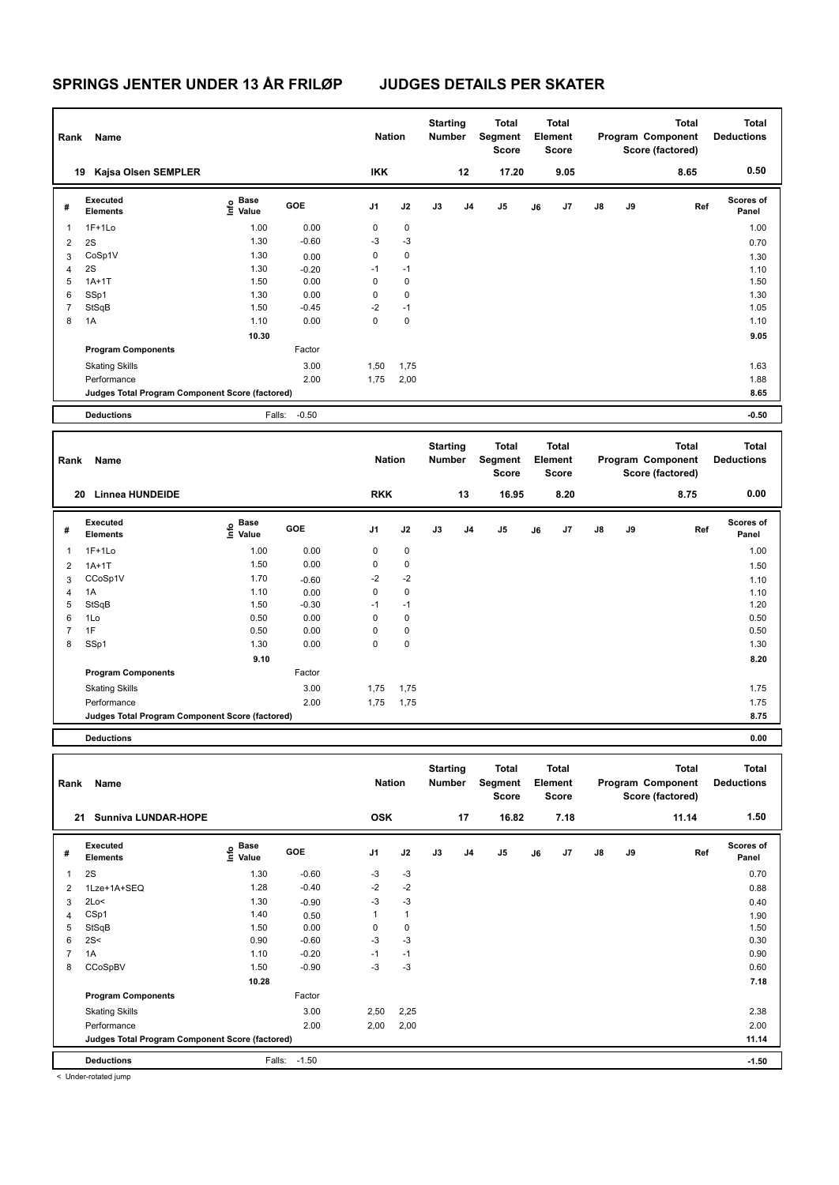| Rank           | Name                                            |                   |         | <b>Nation</b> |             | <b>Starting</b><br><b>Number</b> |    | <b>Total</b><br>Segment<br>Score        |    | <b>Total</b><br>Element<br><b>Score</b> |    |    | <b>Total</b><br>Program Component<br>Score (factored) | <b>Total</b><br><b>Deductions</b> |
|----------------|-------------------------------------------------|-------------------|---------|---------------|-------------|----------------------------------|----|-----------------------------------------|----|-----------------------------------------|----|----|-------------------------------------------------------|-----------------------------------|
|                | Kajsa Olsen SEMPLER<br>19                       |                   |         | <b>IKK</b>    |             |                                  | 12 | 17.20                                   |    | 9.05                                    |    |    | 8.65                                                  | 0.50                              |
| #              | <b>Executed</b><br><b>Elements</b>              | e Base<br>⊆ Value | GOE     | J1            | J2          | J3                               | J4 | J5                                      | J6 | J7                                      | J8 | J9 | Ref                                                   | Scores of<br>Panel                |
| 1              | $1F+1Lo$                                        | 1.00              | 0.00    | $\pmb{0}$     | $\pmb{0}$   |                                  |    |                                         |    |                                         |    |    |                                                       | 1.00                              |
| $\overline{2}$ | 2S                                              | 1.30              | $-0.60$ | -3            | $-3$        |                                  |    |                                         |    |                                         |    |    |                                                       | 0.70                              |
| 3              | CoSp1V                                          | 1.30              | 0.00    | $\mathbf 0$   | $\mathbf 0$ |                                  |    |                                         |    |                                         |    |    |                                                       | 1.30                              |
| 4              | 2S                                              | 1.30              | $-0.20$ | $-1$          | $-1$        |                                  |    |                                         |    |                                         |    |    |                                                       | 1.10                              |
| 5              | $1A+1T$                                         | 1.50              | 0.00    | $\mathbf 0$   | $\mathbf 0$ |                                  |    |                                         |    |                                         |    |    |                                                       | 1.50                              |
| 6              | SSp1                                            | 1.30              | 0.00    | $\mathbf 0$   | $\pmb{0}$   |                                  |    |                                         |    |                                         |    |    |                                                       | 1.30                              |
| $\overline{7}$ | StSqB                                           | 1.50              | $-0.45$ | $-2$          | $-1$        |                                  |    |                                         |    |                                         |    |    |                                                       | 1.05                              |
| 8              | 1A                                              | 1.10              | 0.00    | $\Omega$      | $\mathbf 0$ |                                  |    |                                         |    |                                         |    |    |                                                       | 1.10                              |
|                |                                                 | 10.30             |         |               |             |                                  |    |                                         |    |                                         |    |    |                                                       | 9.05                              |
|                | <b>Program Components</b>                       |                   | Factor  |               |             |                                  |    |                                         |    |                                         |    |    |                                                       |                                   |
|                | <b>Skating Skills</b>                           |                   | 3.00    | 1,50          | 1,75        |                                  |    |                                         |    |                                         |    |    |                                                       | 1.63                              |
|                | Performance                                     |                   | 2.00    | 1,75          | 2,00        |                                  |    |                                         |    |                                         |    |    |                                                       | 1.88                              |
|                | Judges Total Program Component Score (factored) |                   |         |               |             |                                  |    |                                         |    |                                         |    |    |                                                       | 8.65                              |
|                | <b>Deductions</b>                               | Falls:            | $-0.50$ |               |             |                                  |    |                                         |    |                                         |    |    |                                                       | $-0.50$                           |
|                |                                                 |                   |         |               |             |                                  |    |                                         |    |                                         |    |    |                                                       |                                   |
|                |                                                 |                   |         |               |             |                                  |    |                                         |    |                                         |    |    |                                                       |                                   |
| Rank           | Name                                            |                   |         | <b>Nation</b> |             | <b>Starting</b><br><b>Number</b> |    | <b>Total</b><br>Segment<br><b>Score</b> |    | <b>Total</b><br>Element<br><b>Score</b> |    |    | <b>Total</b><br>Program Component<br>Score (factored) | <b>Total</b><br><b>Deductions</b> |
|                | <b>Linnea HUNDEIDE</b><br>20                    |                   |         | <b>RKK</b>    |             |                                  | 13 | 16.95                                   |    | 8.20                                    |    |    | 8.75                                                  | 0.00                              |
| #              | Executed<br><b>Elements</b>                     | e Base<br>E Value | GOE     | J1            | J2          | J3                               | J4 | J5                                      | J6 | J7                                      | J8 | J9 | Ref                                                   | <b>Scores of</b><br>Panel         |
| 1              | $1F+1Lo$                                        | 1.00              | 0.00    | $\pmb{0}$     | $\pmb{0}$   |                                  |    |                                         |    |                                         |    |    |                                                       | 1.00                              |
| $\overline{2}$ | $1A+1T$                                         | 1.50              | 0.00    | 0             | $\pmb{0}$   |                                  |    |                                         |    |                                         |    |    |                                                       | 1.50                              |
| 3              | CCoSp1V                                         | 1.70              | $-0.60$ | $-2$          | $-2$        |                                  |    |                                         |    |                                         |    |    |                                                       | 1.10                              |
| $\overline{4}$ | 1A                                              | 1.10              | 0.00    | $\mathbf 0$   | $\pmb{0}$   |                                  |    |                                         |    |                                         |    |    |                                                       | 1.10                              |
| 5              | StSqB                                           | 1.50              | $-0.30$ | $-1$          | $-1$        |                                  |    |                                         |    |                                         |    |    |                                                       | 1.20                              |
| 6              | 1Lo                                             | 0.50              | 0.00    | $\mathbf 0$   | $\mathbf 0$ |                                  |    |                                         |    |                                         |    |    |                                                       | 0.50                              |
| $\overline{7}$ | 1F                                              | 0.50              | 0.00    | $\mathbf 0$   | $\pmb{0}$   |                                  |    |                                         |    |                                         |    |    |                                                       | 0.50                              |
| 8              | SSp1                                            | 1.30              | 0.00    | $\mathbf 0$   | 0           |                                  |    |                                         |    |                                         |    |    |                                                       | 1.30                              |
|                |                                                 | 9.10              |         |               |             |                                  |    |                                         |    |                                         |    |    |                                                       | 8.20                              |
|                | <b>Program Components</b>                       |                   | Factor  |               |             |                                  |    |                                         |    |                                         |    |    |                                                       |                                   |
|                | <b>Skating Skills</b>                           |                   | 3.00    | 1,75          | 1,75        |                                  |    |                                         |    |                                         |    |    |                                                       | 1.75                              |
|                | Performance                                     |                   | 2.00    | 1,75          | 1,75        |                                  |    |                                         |    |                                         |    |    |                                                       | 1.75                              |

**Deductions 0.00**

|                                                                                                                                                                                         | 1.50                      |
|-----------------------------------------------------------------------------------------------------------------------------------------------------------------------------------------|---------------------------|
| <b>OSK</b><br>17<br>16.82<br>7.18<br>11.14<br><b>Sunniva LUNDAR-HOPE</b><br>21                                                                                                          |                           |
| Executed<br><b>Base</b><br>e Base<br>E Value<br>GOE<br>J2<br>J3<br>J <sub>1</sub><br>J <sub>4</sub><br>J <sub>5</sub><br>J7<br>$\mathsf{J}8$<br>J9<br>Ref<br>#<br>J6<br><b>Elements</b> | <b>Scores of</b><br>Panel |
| $-3$<br>2S<br>1.30<br>$-0.60$<br>$-3$<br>1                                                                                                                                              | 0.70                      |
| $-2$<br>$-2$<br>1.28<br>$-0.40$<br>1Lze+1A+SEQ<br>2                                                                                                                                     | 0.88                      |
| $-3$<br>$-3$<br>2Lo<<br>1.30<br>$-0.90$<br>3                                                                                                                                            | 0.40                      |
| $\mathbf{1}$<br>CSp1<br>1.40<br>1<br>0.50<br>$\overline{4}$                                                                                                                             | 1.90                      |
| $\pmb{0}$<br>StSqB<br>1.50<br>0.00<br>0<br>5                                                                                                                                            | 1.50                      |
| $-3$<br>2S<<br>$-3$<br>0.90<br>$-0.60$<br>6                                                                                                                                             | 0.30                      |
| 1A<br>$-0.20$<br>$-1$<br>$\overline{7}$<br>1.10<br>$-1$                                                                                                                                 | 0.90                      |
| $-3$<br>$-3$<br>CCoSpBV<br>$-0.90$<br>1.50<br>8                                                                                                                                         | 0.60                      |
| 10.28                                                                                                                                                                                   | 7.18                      |
| <b>Program Components</b><br>Factor                                                                                                                                                     |                           |
| 3.00<br>2,50<br>2,25<br><b>Skating Skills</b>                                                                                                                                           | 2.38                      |
| 2.00<br>Performance<br>2,00<br>2,00                                                                                                                                                     | 2.00                      |
| Judges Total Program Component Score (factored)                                                                                                                                         | 11.14                     |
| <b>Deductions</b><br>Falls:<br>$-1.50$                                                                                                                                                  | $-1.50$                   |